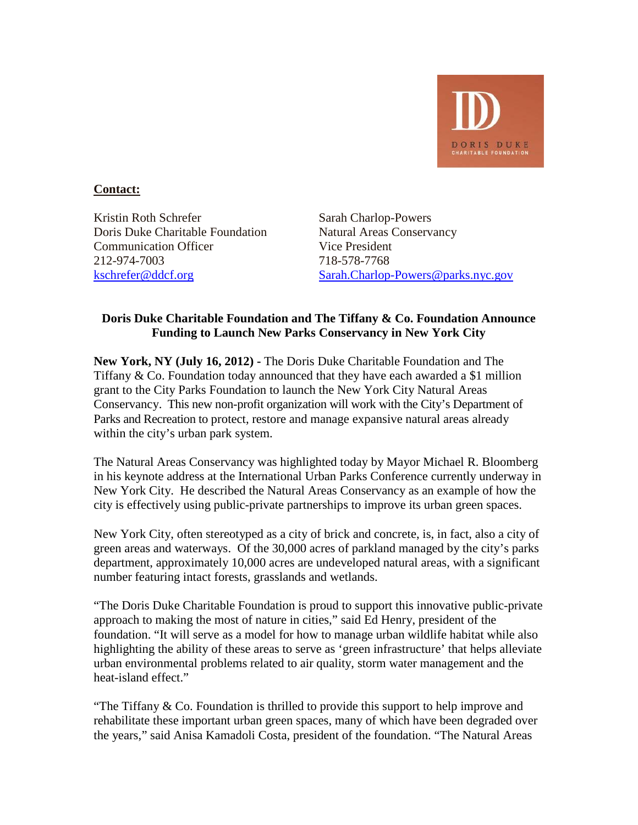

## **Contact:**

Kristin Roth Schrefer Sarah Charlop-Powers Doris Duke Charitable Foundation Natural Areas Conservancy **Communication Officer** Vice President 212-974-7003 718-578-7768

[kschrefer@ddcf.org](mailto:kschrefer@ddcf.org) [Sarah.Charlop-Powers@parks.nyc.gov](mailto:Sarah.Charlop-Powers@parks.nyc.gov)

## **Doris Duke Charitable Foundation and The Tiffany & Co. Foundation Announce Funding to Launch New Parks Conservancy in New York City**

**New York, NY (July 16, 2012) -** The Doris Duke Charitable Foundation and The Tiffany & Co. Foundation today announced that they have each awarded a \$1 million grant to the City Parks Foundation to launch the New York City Natural Areas Conservancy. This new non-profit organization will work with the City's Department of Parks and Recreation to protect, restore and manage expansive natural areas already within the city's urban park system.

The Natural Areas Conservancy was highlighted today by Mayor Michael R. Bloomberg in his keynote address at the International Urban Parks Conference currently underway in New York City. He described the Natural Areas Conservancy as an example of how the city is effectively using public-private partnerships to improve its urban green spaces.

New York City, often stereotyped as a city of brick and concrete, is, in fact, also a city of green areas and waterways. Of the 30,000 acres of parkland managed by the city's parks department, approximately 10,000 acres are undeveloped natural areas, with a significant number featuring intact forests, grasslands and wetlands.

"The Doris Duke Charitable Foundation is proud to support this innovative public-private approach to making the most of nature in cities," said Ed Henry, president of the foundation. "It will serve as a model for how to manage urban wildlife habitat while also highlighting the ability of these areas to serve as 'green infrastructure' that helps alleviate urban environmental problems related to air quality, storm water management and the heat-island effect."

"The Tiffany & Co. Foundation is thrilled to provide this support to help improve and rehabilitate these important urban green spaces, many of which have been degraded over the years," said Anisa Kamadoli Costa, president of the foundation. "The Natural Areas